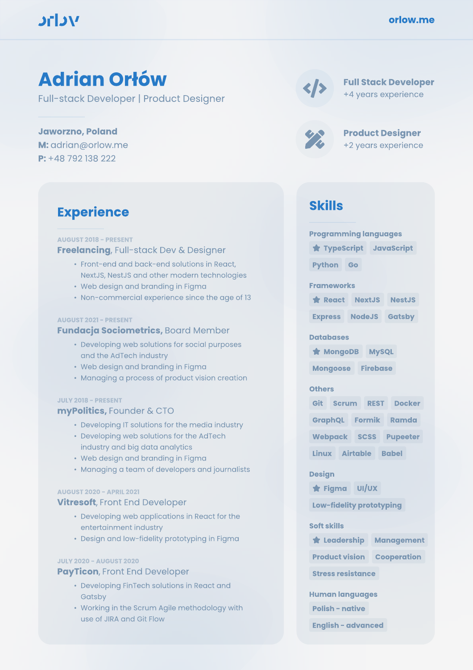## **MCTC**

# Adrian Orłów

Full-stack Developer | Product Designer

Jaworzno, Poland M: adrian@orlow.me P: +48 792 138 222

### **Experience**

#### **AUGUST 2018 - PRESENT Freelancing, Full-stack Dev & Designer**

- Å Front-end and back-end solutions in React, NextJS, NestJS and other modern technologies
- Web design and branding in Figma
- Non-commercial experience since the age of 13

#### **AUGUST 2021 - PRESENT**

#### Fundacja Sociometrics, Board Member

- Developing web solutions for social purposes and the AdTech industry
- Web design and branding in Figma
- Managing a process of product vision creation

#### **JULY 2018 - PRESENT**

#### myPolitics, Founder & CTO

- Developing IT solutions for the media industry
- Developing web solutions for the AdTech industry and big data analytics
- Web design and branding in Figma
- Managing a team of developers and journalists

#### **AUGUST 2020 - APRIL 2021**

#### **Vitresoft**, Front End Developer

- Developing web applications in React for the entertainment industry
- Design and low-fidelity prototyping in Figma

#### **JULY 2020 - AUGUST 2020**

#### PayTicon, Front End Developer

- Developing FinTech solutions in React and Gatsby
- Working in the Scrum Agile methodology with use of JIRA and Git Flow

|--|

#### Full Stack Developer +4 years experience

Product Designer +2 years experience

### Skills

| <b>Programming languages</b>      |                     |                    |  |
|-----------------------------------|---------------------|--------------------|--|
| TypeScript JavaScript             |                     |                    |  |
| <b>Python</b> Go                  |                     |                    |  |
| <b>Frameworks</b>                 |                     |                    |  |
|                                   | React NextJS NestJS |                    |  |
| <b>Express NodeJS Gatsby</b>      |                     |                    |  |
| <b>Databases</b>                  |                     |                    |  |
| <b>* MongoDB MySQL</b>            |                     |                    |  |
| Mongoose Firebase                 |                     |                    |  |
| <b>Others</b>                     |                     |                    |  |
| Git Scrum                         |                     | <b>REST Docker</b> |  |
| GraphQL Formik Ramda              |                     |                    |  |
| Webpack SCSS Pupeeter             |                     |                    |  |
| Linux Airtable Babel              |                     |                    |  |
| <b>Design</b>                     |                     |                    |  |
| <b>*</b> Figma UI/UX              |                     |                    |  |
| Low-fidelity prototyping          |                     |                    |  |
| <b>Soft skills</b>                |                     |                    |  |
| <b>*</b> Leadership Management    |                     |                    |  |
| <b>Product vision Cooperation</b> |                     |                    |  |
| <b>Stress resistance</b>          |                     |                    |  |
| <b>Human languages</b>            |                     |                    |  |
| <b>Polish - native</b>            |                     |                    |  |

**English - advanced**